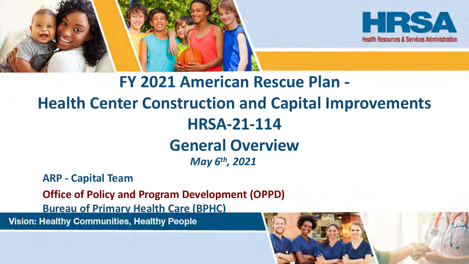



#### **FY 2021 American Rescue Plan - Health Center Construction and Capital Improvements HRSA-21-114 General Overview** *May 6th , 2021*

**ARP - Capital Team** 

**Office of Policy and Program Development (OPPD)** 

**Bureau of Primary Health Care (BPHC)**

**Vision: Healthy Communities, Healthy People** 

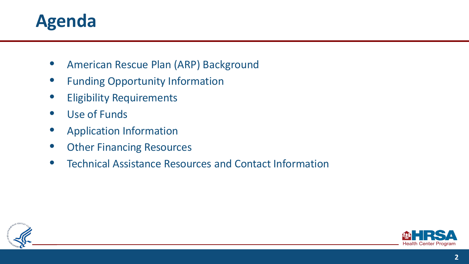#### **Agenda**

- American Rescue Plan (ARP) Background
- Funding Opportunity Information
- **Eligibility Requirements**
- Use of Funds
- Application Information
- **Other Financing Resources**
- Technical Assistance Resources and Contact Information



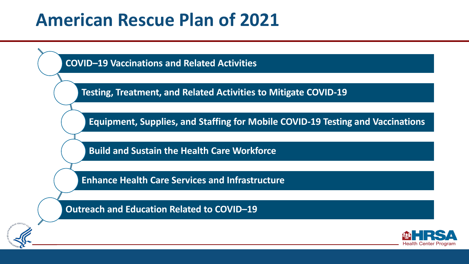#### **American Rescue Plan of 2021**

**COVID–19 Vaccinations and Related Activities**

**Testing, Treatment, and Related Activities to Mitigate COVID-19**

**Equipment, Supplies, and Staffing for Mobile COVID-19 Testing and Vaccinations**

**Build and Sustain the Health Care Workforce**

**Enhance Health Care Services and Infrastructure**

**Outreach and Education Related to COVID–19**



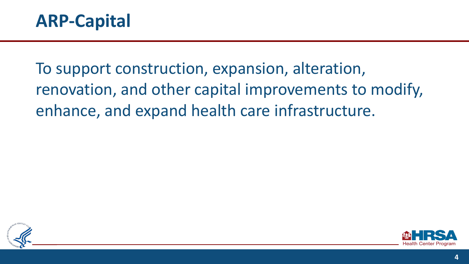

To support construction, expansion, alteration, renovation, and other capital improvements to modify, enhance, and expand health care infrastructure.



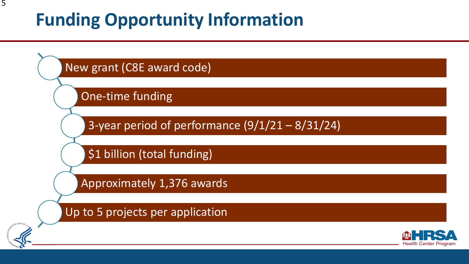## **Funding Opportunity Information**

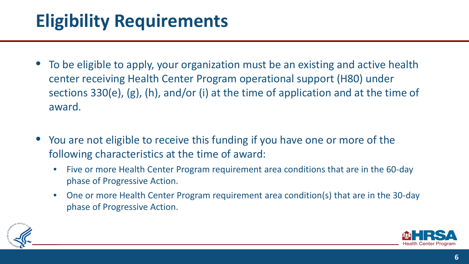## **Eligibility Requirements**

- To be eligible to apply, your organization must be an existing and active health center receiving Health Center Program operational support (H80) under sections 330(e), (g), (h), and/or (i) at the time of application and at the time of award.
- You are not eligible to receive this funding if you have one or more of the following characteristics at the time of award:
	- Five or more Health Center Program requirement area conditions that are in the 60-day phase of Progressive Action.
	- One or more Health Center Program requirement area condition(s) that are in the 30-day phase of Progressive Action.

![](_page_5_Picture_5.jpeg)

![](_page_5_Picture_6.jpeg)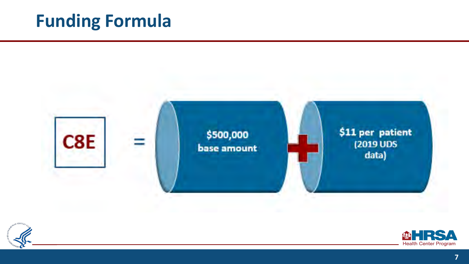#### **Funding Formula**

![](_page_6_Figure_1.jpeg)

![](_page_6_Picture_2.jpeg)

![](_page_6_Picture_3.jpeg)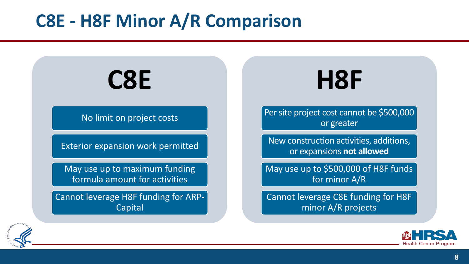### **C8E - H8F Minor A/R Comparison**

# **C8E**

No limit on project costs

Exterior expansion work permitted

May use up to maximum funding formula amount for activities

Cannot leverage H8F funding for ARP-Capital

![](_page_7_Picture_6.jpeg)

Per site project cost cannot be \$500,000 or greater

New construction activities, additions, or expansions **not allowed**

May use up to \$500,000 of H8F funds for minor A/R

Cannot leverage C8E funding for H8F minor A/R projects

![](_page_7_Picture_11.jpeg)

![](_page_7_Picture_12.jpeg)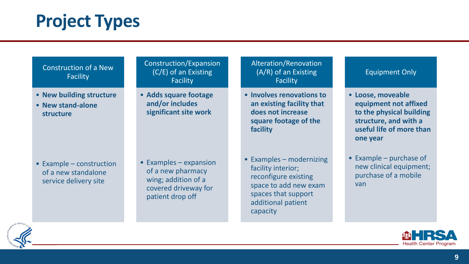### **Project Types**

Construction of a New Facility

- **New building structure**
- **New stand-alone structure**

• Example – construction of a new standalone service delivery site

Construction/Expansion (C/E) of an Existing Facility

• **Adds square footage and/or includes significant site work**

• Examples – expansion of a new pharmacy wing; addition of a covered driveway for patient drop off

#### Alteration/Renovation (A/R) of an Existing Facility

- **Involves renovations to an existing facility that does not increase square footage of the facility**
- Examples modernizing facility interior; reconfigure existing space to add new exam spaces that support additional patient capacity

#### Equipment Only

- **Loose, moveable equipment not affixed to the physical building structure, and with a useful life of more than one year**
- Example purchase of new clinical equipment; purchase of a mobile van

![](_page_8_Picture_14.jpeg)

![](_page_8_Picture_15.jpeg)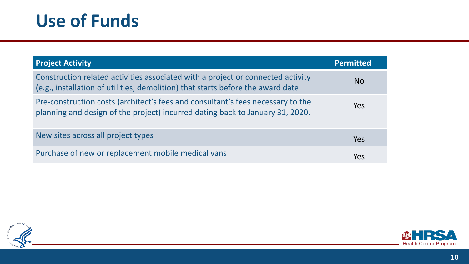### **Use of Funds**

| <b>Project Activity</b>                                                                                                                                            | <b>Permitted</b> |
|--------------------------------------------------------------------------------------------------------------------------------------------------------------------|------------------|
| Construction related activities associated with a project or connected activity<br>(e.g., installation of utilities, demolition) that starts before the award date | No.              |
| Pre-construction costs (architect's fees and consultant's fees necessary to the<br>planning and design of the project) incurred dating back to January 31, 2020.   | Yes              |
| New sites across all project types                                                                                                                                 | Yes              |
| Purchase of new or replacement mobile medical vans                                                                                                                 | Yes              |

![](_page_9_Picture_2.jpeg)

![](_page_9_Picture_3.jpeg)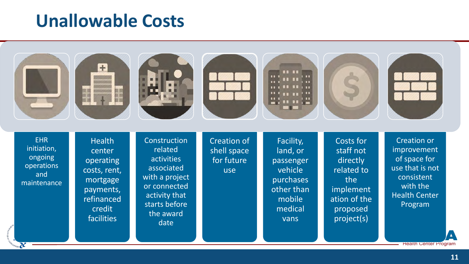#### **Unallowable Costs**

X

![](_page_10_Picture_1.jpeg)

**Health Center Program**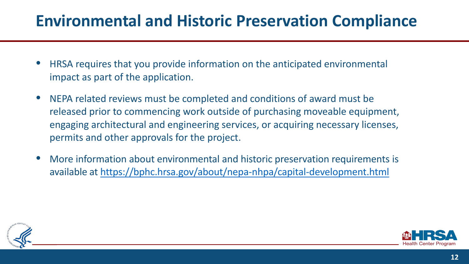#### **Environmental and Historic Preservation Compliance**

- HRSA requires that you provide information on the anticipated environmental impact as part of the application.
- NEPA related reviews must be completed and conditions of award must be released prior to commencing work outside of purchasing moveable equipment, engaging architectural and engineering services, or acquiring necessary licenses, permits and other approvals for the project.
- More information about environmental and historic preservation requirements is available at <https://bphc.hrsa.gov/about/nepa-nhpa/capital-development.html>

![](_page_11_Picture_4.jpeg)

![](_page_11_Picture_5.jpeg)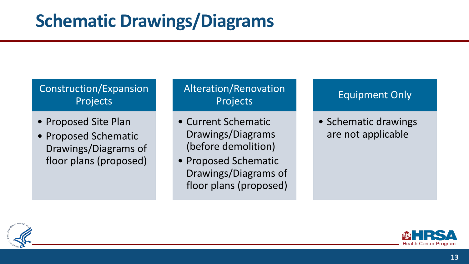#### Construction/Expansion Projects

- Proposed Site Plan
- Proposed Schematic Drawings/Diagrams of floor plans (proposed)

#### Alteration/Renovation **Projects**

- Current Schematic Drawings/Diagrams (before demolition)
- Proposed Schematic Drawings/Diagrams of floor plans (proposed)

#### Equipment Only

• Schematic drawings are not applicable

![](_page_12_Picture_9.jpeg)

![](_page_12_Picture_10.jpeg)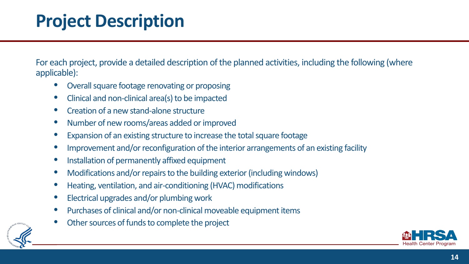### **Project Description**

For each project, provide a detailed description of the planned activities, including the following (where applicable):

- Overall square footage renovating or proposing
- Clinical and non-clinical area(s) to be impacted
- Creation of a new stand-alone structure
- Number of new rooms/areas added or improved
- Expansion of an existing structure to increase the total square footage
- Improvement and/or reconfiguration of the interior arrangements of an existing facility
- Installation of permanently affixed equipment
- Modifications and/or repairs to the building exterior (including windows)
- Heating, ventilation, and air-conditioning (HVAC) modifications
- Electrical upgrades and/or plumbing work
- Purchases of clinical and/or non-clinical moveable equipment items
- Other sources of funds to complete the project

![](_page_13_Picture_14.jpeg)

![](_page_13_Picture_15.jpeg)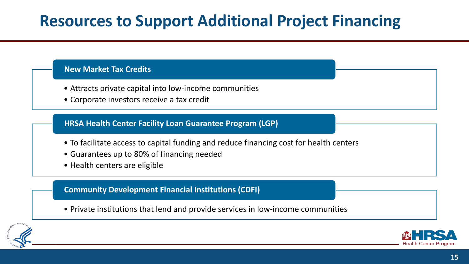#### **Resources to Support Additional Project Financing**

#### **New Market Tax Credits**

- Attracts private capital into low-income communities
- Corporate investors receive a tax credit

**HRSA Health Center Facility Loan Guarantee Program (LGP)**

- To facilitate access to capital funding and reduce financing cost for health centers
- Guarantees up to 80% of financing needed
- Health centers are eligible

#### **Community Development Financial Institutions (CDFI)**

• Private institutions that lend and provide services in low-income communities

![](_page_14_Picture_10.jpeg)

![](_page_14_Picture_11.jpeg)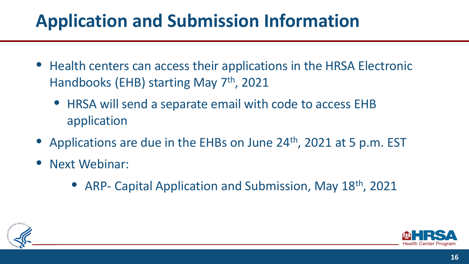## **Application and Submission Information**

- Health centers can access their applications in the HRSA Electronic Handbooks (EHB) starting May 7<sup>th</sup>, 2021
	- HRSA will send a separate email with code to access EHB application
- Applications are due in the EHBs on June 24<sup>th</sup>, 2021 at 5 p.m. EST
- Next Webinar:
	- ARP- Capital Application and Submission, May 18<sup>th</sup>, 2021

![](_page_15_Picture_6.jpeg)

![](_page_15_Picture_7.jpeg)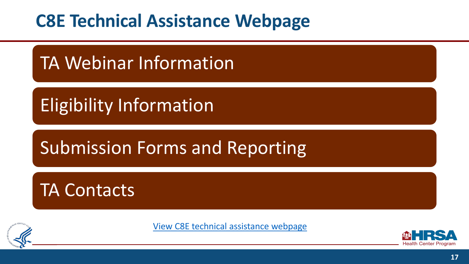#### **C8E Technical Assistance Webpage**

TA Webinar Information

Eligibility Information

## Submission Forms and Reporting

TA Contacts

View C8E technical [assistance webpage](https://bphc.hrsa.gov/program-opportunities/american-rescue-plan/arp-capital-improvements)

![](_page_16_Picture_7.jpeg)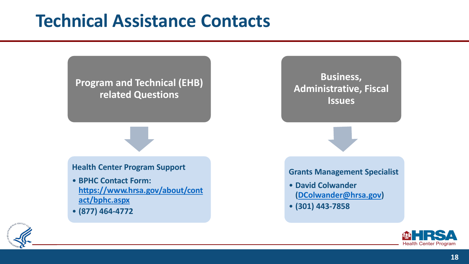#### **Technical Assistance Contacts**

**Program and Technical (EHB) related Questions**

**Health Center Program Support**

- **BPHC Contact Form: [https://www.hrsa.gov/about/cont](https://www.hrsa.gov/about/contact/bphc.aspx) act/bphc.aspx**
- **(877) 464-4772**

![](_page_17_Picture_5.jpeg)

**Grants Management Specialist**

- **David Colwander [\(DColwander@hrsa.gov\)](mailto:DGibson@hrsa.gov)**
- **(301) 443-7858**

![](_page_17_Picture_9.jpeg)

![](_page_17_Picture_10.jpeg)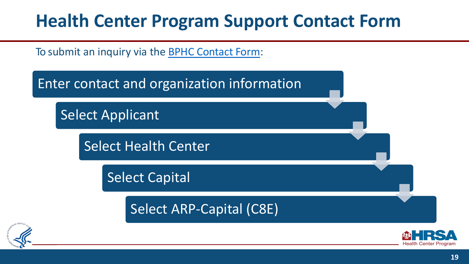### **Health Center Program Support Contact Form**

To submit an inquiry via the BPHC [Contact](https://bphccommunications.secure.force.com/ContactBPHC/BPHC_Contact_Form) Form:

![](_page_18_Figure_2.jpeg)

![](_page_18_Picture_3.jpeg)

![](_page_18_Picture_4.jpeg)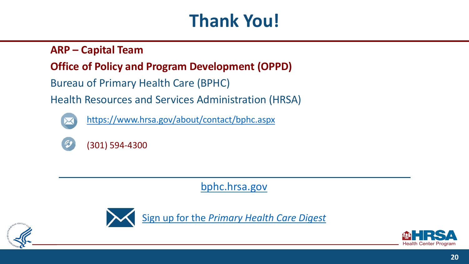## **Thank You!**

#### **ARP – Capital Team**

#### **Office of Policy and Program Development (OPPD)**

Bureau of Primary Health Care (BPHC)

Health Resources and Services Administration (HRSA)

![](_page_19_Picture_5.jpeg)

<https://www.hrsa.gov/about/contact/bphc.aspx>

![](_page_19_Picture_7.jpeg)

(301) 594-4300

[bphc.hrsa.gov](https://bphc.hrsa.gov/)

![](_page_19_Picture_10.jpeg)

Sign up for the *[Primary Health Care Digest](https://public.govdelivery.com/accounts/USHHSHRSA/subscriber/new?qsp=HRSA-subscribe)*

![](_page_19_Picture_12.jpeg)